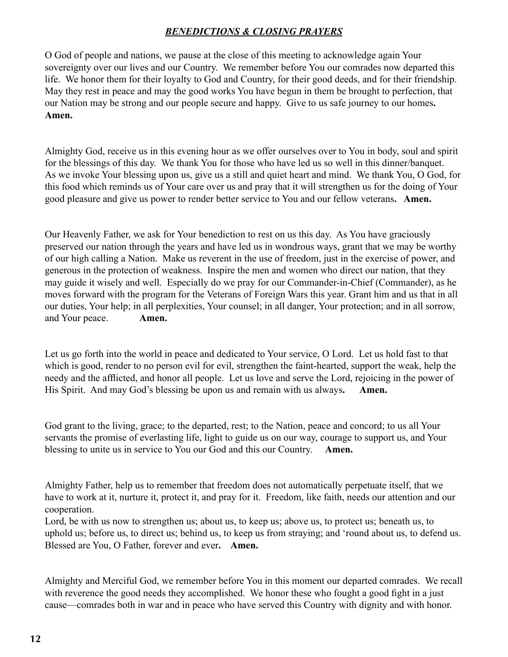## *BENEDICTIONS & CLOSING PRAYERS*

O God of people and nations, we pause at the close of this meeting to acknowledge again Your sovereignty over our lives and our Country. We remember before You our comrades now departed this life. We honor them for their loyalty to God and Country, for their good deeds, and for their friendship. May they rest in peace and may the good works You have begun in them be brought to perfection, that our Nation may be strong and our people secure and happy. Give to us safe journey to our homes**. Amen.**

Almighty God, receive us in this evening hour as we offer ourselves over to You in body, soul and spirit for the blessings of this day. We thank You for those who have led us so well in this dinner/banquet. As we invoke Your blessing upon us, give us a still and quiet heart and mind. We thank You, O God, for this food which reminds us of Your care over us and pray that it will strengthen us for the doing of Your good pleasure and give us power to render better service to You and our fellow veterans**. Amen.** 

Our Heavenly Father, we ask for Your benediction to rest on us this day. As You have graciously preserved our nation through the years and have led us in wondrous ways, grant that we may be worthy of our high calling a Nation. Make us reverent in the use of freedom, just in the exercise of power, and generous in the protection of weakness. Inspire the men and women who direct our nation, that they may guide it wisely and well. Especially do we pray for our Commander-in-Chief (Commander), as he moves forward with the program for the Veterans of Foreign Wars this year. Grant him and us that in all our duties, Your help; in all perplexities, Your counsel; in all danger, Your protection; and in all sorrow, and Your peace. **Amen.**

Let us go forth into the world in peace and dedicated to Your service, O Lord. Let us hold fast to that which is good, render to no person evil for evil, strengthen the faint-hearted, support the weak, help the needy and the afflicted, and honor all people. Let us love and serve the Lord, rejoicing in the power of His Spirit. And may God's blessing be upon us and remain with us always. Amen.

God grant to the living, grace; to the departed, rest; to the Nation, peace and concord; to us all Your servants the promise of everlasting life, light to guide us on our way, courage to support us, and Your blessing to unite us in service to You our God and this our Country. **Amen.**

Almighty Father, help us to remember that freedom does not automatically perpetuate itself, that we have to work at it, nurture it, protect it, and pray for it. Freedom, like faith, needs our attention and our cooperation.

Lord, be with us now to strengthen us; about us, to keep us; above us, to protect us; beneath us, to uphold us; before us, to direct us; behind us, to keep us from straying; and 'round about us, to defend us. Blessed are You, O Father, forever and ever**. Amen.**

Almighty and Merciful God, we remember before You in this moment our departed comrades. We recall with reverence the good needs they accomplished. We honor these who fought a good fight in a just cause—comrades both in war and in peace who have served this Country with dignity and with honor.